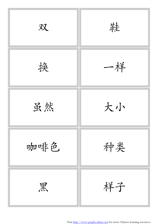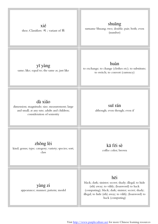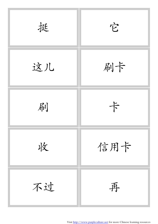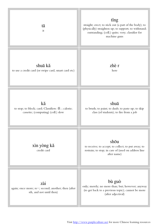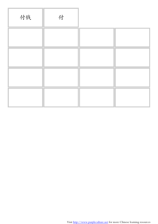| 付钱 | 付 |  |
|----|---|--|
|    |   |  |
|    |   |  |
|    |   |  |
|    |   |  |